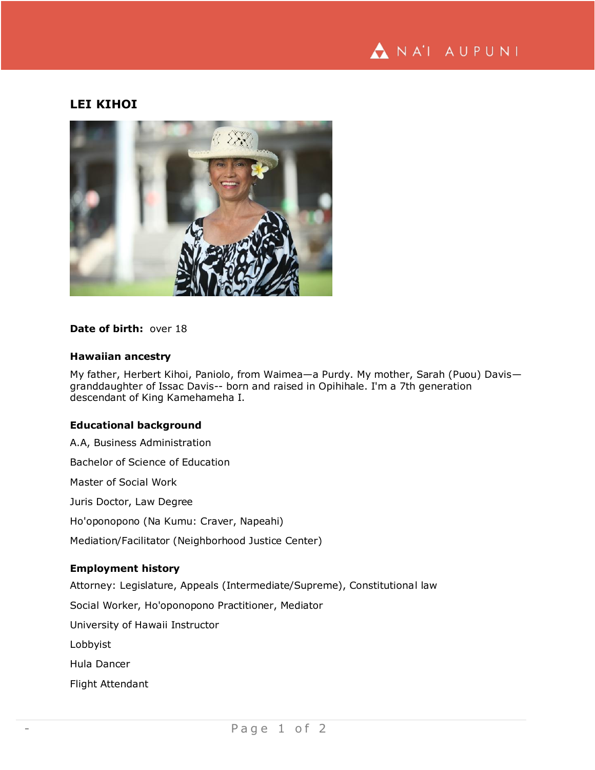

# **LEI KIHOI**



## **Date of birth:** over 18

#### **Hawaiian ancestry**

My father, Herbert Kihoi, Paniolo, from Waimea—a Purdy. My mother, Sarah (Puou) Davis granddaughter of Issac Davis-- born and raised in Opihihale. I'm a 7th generation descendant of King Kamehameha I.

## **Educational background**

A.A, Business Administration Bachelor of Science of Education Master of Social Work Juris Doctor, Law Degree Ho'oponopono (Na Kumu: Craver, Napeahi) Mediation/Facilitator (Neighborhood Justice Center) **Employment history** Attorney: Legislature, Appeals (Intermediate/Supreme), Constitutional law

Social Worker, Ho'oponopono Practitioner, Mediator

University of Hawaii Instructor

Lobbyist

Hula Dancer

Flight Attendant